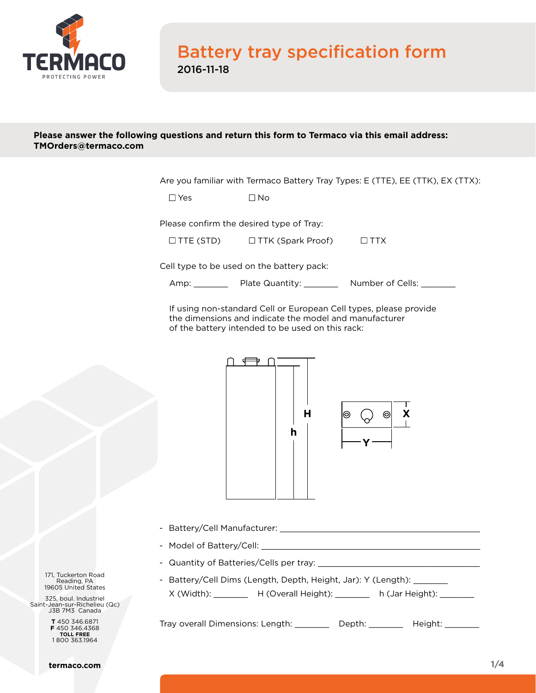

## Battery tray specification form 2016-11-18

## **Please answer the following questions and return this form to Termaco via this email address: [TMOrders@termaco.com](mailto:TMOrders%40termaco.com?subject=Battery%20tray%20specification%20form)**

Are you familiar with Termaco Battery Tray Types: E (TTE), EE (TTK), EX (TTX):

Please confirm the desired type of Tray:

| $\Box$ TTE (STD) | $\Box$ TTK (Spark Proof) | $\Box$ TTX |
|------------------|--------------------------|------------|

Cell type to be used on the battery pack:

Amp: Plate Quantity: \_\_\_\_\_\_\_ Number of Cells: \_\_\_\_\_\_

If using non-standard Cell or European Cell types, please provide **h** the dimensions and indicate the model and manufacturer of the battery intended to be used on this rack:



- **X** Battery/Cell Manufacturer: \_\_\_\_\_\_\_\_\_\_\_\_\_\_\_\_\_\_\_\_\_\_\_\_\_\_\_\_\_\_\_\_\_\_\_\_\_\_\_\_\_
- Model of Battery/Cell: \_\_\_\_\_
- **Y** Quantity of Batteries/Cells per tray: \_\_\_\_\_\_\_\_\_\_\_\_\_\_\_\_\_\_\_\_\_\_\_\_\_\_\_\_\_\_\_\_\_
- Battery/Cell Dims (Length, Depth, Height, Jar): Y (Length): \_\_\_\_\_\_\_ X (Width): \_\_\_\_\_\_\_ H (Overall Height): \_\_\_\_\_\_ h (Jar Height): \_\_\_\_\_\_

Tray overall Dimensions: Length: \_\_\_\_\_\_\_\_ Depth: \_\_\_\_\_\_\_ Height: \_\_\_\_\_\_\_

171, Tuckerton Road Reading, PA 19605 United States

325, boul. Industriel Saint-Jean-sur-Richelieu (Qc) J3B 7M3 Canada

> **T** 450 346.6871 **F** 450 346.4368 **TOLL FREE** 1 800 363.1964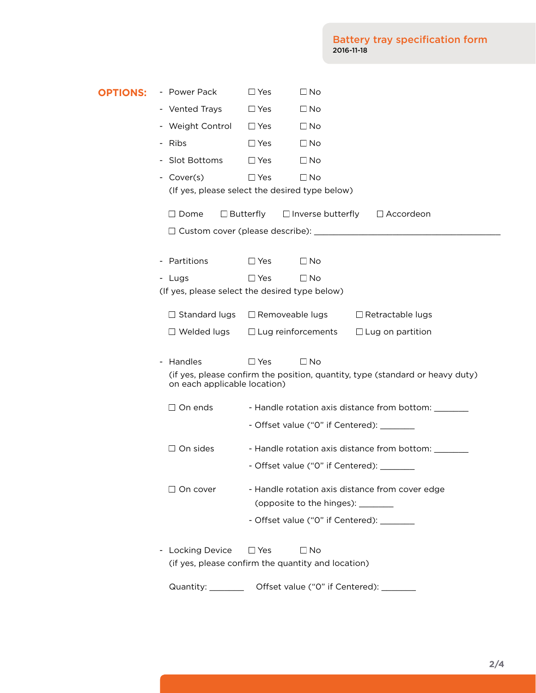| <b>OPTIONS:</b>                                | - Power Pack                                                                                                  | $\Box$ No<br>$\Box$ Yes                                                                           |  |  |  |  |  |  |
|------------------------------------------------|---------------------------------------------------------------------------------------------------------------|---------------------------------------------------------------------------------------------------|--|--|--|--|--|--|
|                                                | - Vented Trays                                                                                                | $\Box$ No<br>$\Box$ Yes                                                                           |  |  |  |  |  |  |
|                                                | - Weight Control                                                                                              | $\Box$ Yes<br>$\Box$ No                                                                           |  |  |  |  |  |  |
|                                                | - Ribs                                                                                                        | $\Box$ Yes<br>$\Box$ No                                                                           |  |  |  |  |  |  |
|                                                | - Slot Bottoms                                                                                                | $\Box$ Yes<br>$\Box$ No                                                                           |  |  |  |  |  |  |
|                                                | - Cover(s)                                                                                                    | $\Box$ Yes<br>$\square$ No                                                                        |  |  |  |  |  |  |
| (If yes, please select the desired type below) |                                                                                                               |                                                                                                   |  |  |  |  |  |  |
|                                                | $\Box$ Butterfly<br>$\Box$ Inverse butterfly<br>$\Box$ Accordeon<br>$\Box$ Dome                               |                                                                                                   |  |  |  |  |  |  |
|                                                |                                                                                                               |                                                                                                   |  |  |  |  |  |  |
|                                                |                                                                                                               |                                                                                                   |  |  |  |  |  |  |
|                                                | - Partitions                                                                                                  | $\Box$ Yes<br>$\Box$ No                                                                           |  |  |  |  |  |  |
|                                                | $\Box$ Yes<br>$\square$ No<br>- Lugs<br>(If yes, please select the desired type below)                        |                                                                                                   |  |  |  |  |  |  |
|                                                |                                                                                                               |                                                                                                   |  |  |  |  |  |  |
|                                                | $\Box$ Standard lugs                                                                                          | □ Removeable lugs<br>$\Box$ Retractable lugs                                                      |  |  |  |  |  |  |
|                                                | $\Box$ Welded lugs                                                                                            | $\Box$ Lug reinforcements<br>$\Box$ Lug on partition                                              |  |  |  |  |  |  |
|                                                | - Handles                                                                                                     | $\Box$ No<br>$\Box$ Yes                                                                           |  |  |  |  |  |  |
|                                                | (if yes, please confirm the position, quantity, type (standard or heavy duty)<br>on each applicable location) |                                                                                                   |  |  |  |  |  |  |
|                                                | $\Box$ On ends                                                                                                |                                                                                                   |  |  |  |  |  |  |
|                                                |                                                                                                               | - Handle rotation axis distance from bottom: _______<br>- Offset value ("0" if Centered): _______ |  |  |  |  |  |  |
|                                                |                                                                                                               |                                                                                                   |  |  |  |  |  |  |
|                                                | $\Box$ On sides                                                                                               | - Handle rotation axis distance from bottom: _______                                              |  |  |  |  |  |  |
|                                                |                                                                                                               | - Offset value ("0" if Centered): _______                                                         |  |  |  |  |  |  |
|                                                | $\Box$ On cover                                                                                               | - Handle rotation axis distance from cover edge                                                   |  |  |  |  |  |  |
|                                                |                                                                                                               | (opposite to the hinges): _______                                                                 |  |  |  |  |  |  |
|                                                |                                                                                                               | - Offset value ("0" if Centered): _______                                                         |  |  |  |  |  |  |
|                                                | <b>Locking Device</b>                                                                                         | $\Box$ No<br>$\Box$ Yes                                                                           |  |  |  |  |  |  |
|                                                | (if yes, please confirm the quantity and location)                                                            |                                                                                                   |  |  |  |  |  |  |
|                                                | Quantity: ________                                                                                            | Offset value ("0" if Centered):                                                                   |  |  |  |  |  |  |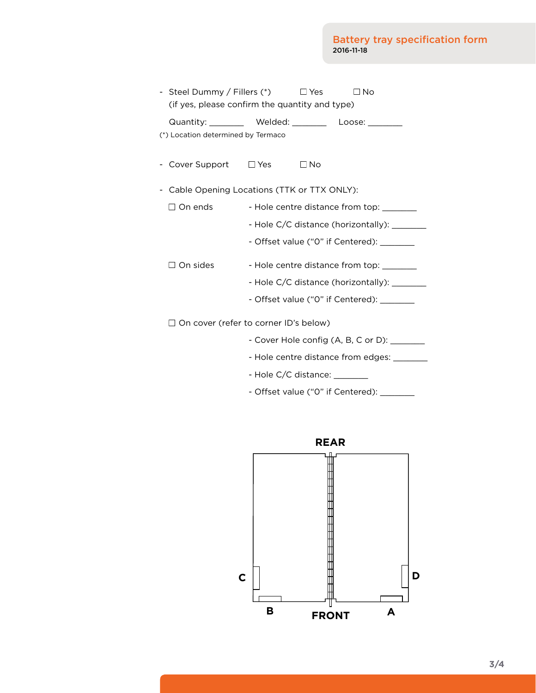|                                              | - Steel Dummy / Fillers $(*)$ $\Box$ Yes<br>(if yes, please confirm the quantity and type) |                                              |              | $\Box$ No                          |  |  |  |
|----------------------------------------------|--------------------------------------------------------------------------------------------|----------------------------------------------|--------------|------------------------------------|--|--|--|
|                                              | Quantity: __________ Welded: _________ Loose: ________                                     |                                              |              |                                    |  |  |  |
| (*) Location determined by Termaco           |                                                                                            |                                              |              |                                    |  |  |  |
|                                              | Cover Support $\Box$ Yes                                                                   |                                              | $\square$ No |                                    |  |  |  |
| Cable Opening Locations (TTK or TTX ONLY):   |                                                                                            |                                              |              |                                    |  |  |  |
|                                              | On ends                                                                                    | - Hole centre distance from top: ________    |              |                                    |  |  |  |
|                                              |                                                                                            | - Hole C/C distance (horizontally): ________ |              |                                    |  |  |  |
|                                              |                                                                                            | - Offset value ("0" if Centered): ________   |              |                                    |  |  |  |
|                                              | $\Box$ On sides                                                                            | - Hole centre distance from top: _______     |              |                                    |  |  |  |
| - Hole C/C distance (horizontally): ________ |                                                                                            |                                              |              |                                    |  |  |  |
| - Offset value ("0" if Centered): _______    |                                                                                            |                                              |              |                                    |  |  |  |
|                                              | $\Box$ On cover (refer to corner ID's below)                                               |                                              |              |                                    |  |  |  |
|                                              |                                                                                            |                                              |              |                                    |  |  |  |
|                                              |                                                                                            |                                              |              | - Hole centre distance from edges: |  |  |  |
|                                              |                                                                                            | - Hole C/C distance:                         |              |                                    |  |  |  |
|                                              |                                                                                            |                                              |              |                                    |  |  |  |

- Offset value ("0" if Centered): \_\_\_\_\_\_\_